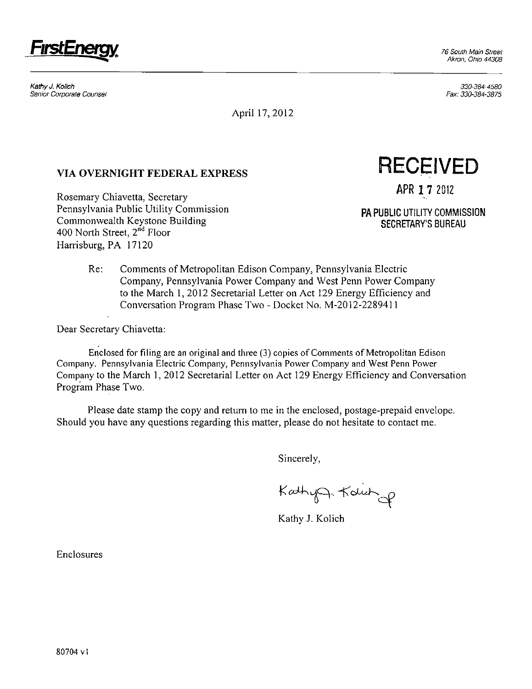

Kathy J. Kolich 330-384-4580 Senior Corporate Counsel Fax: 330-384-3875

April 17,2012

**Example 1 7 2012** Rosemary Chiavetta, Secretary Pennsylvania Public Utility Commission Pennsylvania Public Utility Commission<br>Commonwealth Keystone Building Party 2000 12 2000 12 2000 12 2000 13 2000 13 2000 13 2000 13 2000 13 2000 13 2<br>SECRETARY'S BUREAU 400 North Street,  $2^{\tilde{n}d}$  Floor 100 North Street, 2nd 1001 Harrisburg, PA 17120

VIA OVERNIGHT FEDERAL EXPRESS RECEIVED

Re: Comments of Metropolitan Edison Company, Pennsylvania Electric Company, Pennsylvania Power Company and West Penn Power Company to the March 1, 2012 Secretarial Letter on Act 129 Energy Efficiency and Conversation Program Phase Two - Docket No. M-2012-2289411

Dear Secretary Chiavetta:

Enclosed for filing are an original and three (3) copies of Comments of Metropolitan Edison Company. Pennsylvania Electric Company, Pennsylvania Power Company and West Penn Power Company to the March 1, 2012 Secretarial Letter on Act 129 Energy Efficiency and Conversation Program Phase Two.

Please date stamp the copy and return to me in the enclosed, postage-prepaid envelope. Should you have any questions regarding this matter, please do not hesitate to contact me.

Sincerely,

KathyA. Kolich

Kathy J. Kolich

Enclosures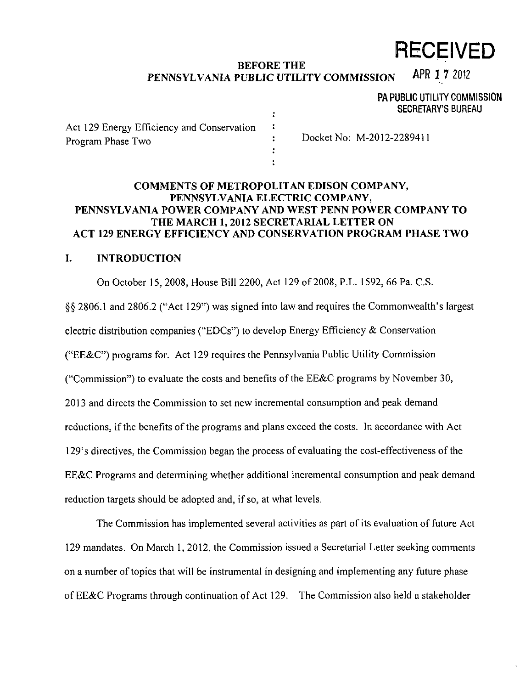# **RECEIVED**

#### **BEFORE THE**  PENNSYLVANIA PUBLIC UTILITY COMMISSION APR 1 7 2012

PA PUBLIC UTILITY COMMISSION SECRETARY'S BUREAU

| Act 129 Energy Efficiency and Conservation |                           |
|--------------------------------------------|---------------------------|
| Program Phase Two                          | Docket No: M-2012-2289411 |
|                                            |                           |
|                                            |                           |

### **COMMENTS OF METROPOLITAN EDISON COMPANY, PENNSYLVANIA ELECTRIC COMPANY, PENNSYLVANIA POWER COMPANY AND WEST PENN POWER COMPANY TO THE MARCH 1, 2012 SECRETARIAL LETTER ON ACT 129 ENERGY EFFICIENCY AND CONSERVATION PROGRAM PHASE TWO**

### **1. INTRODUCTION**

On October 15, 2008, House Bill 2200, Act 129 of 2008, P.L. 1592, 66 Pa. C.S.

§§ 2806.1 and 2806.2 ("Act 129") was signed into law and requires the Commonwealth's largest electric distribution companies ("EDCs") to develop Energy Efficiency & Conservation ("EE&C") programs for. Act 129 requires the Pennsylvania Public Utility Commission ("Commission") to evaluate the costs and benefits of the EE&C programs by November 30, 2013 and directs the Commission to set new incremental consumption and peak demand reductions, if the benefits of the programs and plans exceed the costs. In accordance with Act 129's directives, the Commission began the process of evaluating the cost-effectiveness of the EE&C Programs and determining whether additional incremental consumption and peak demand reduction targets should be adopted and, if so, at what levels.

The Commission has implemented several activities as part of its evaluation of future Act 129 mandates. On March 1, 2012, the Commission issued a Secretarial Letter seeking comments on a number of topics that will be instrumental in designing and implementing any future phase of EE&C Programs through continuation of Act 129. The Commission also held a stakeholder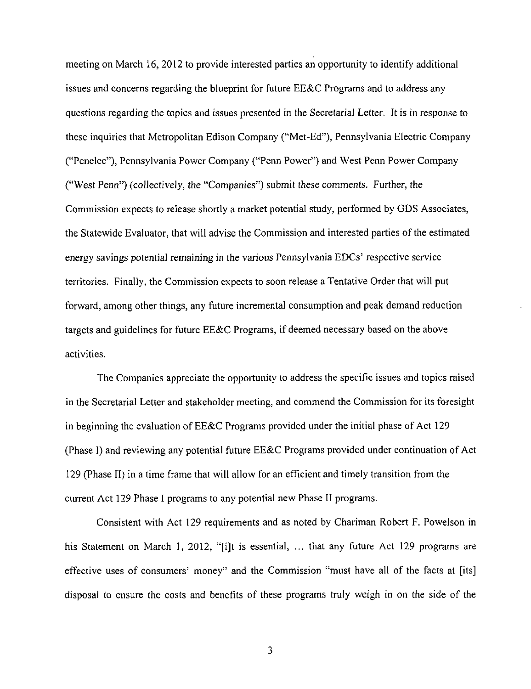meeting on March 16, 2012 to provide interested parties an opportunity to identify additional issues and concerns regarding the blueprint for future EE&C Programs and to address any questions regarding the topics and issues presented in the Secretarial Letter. It is in response to these inquiries that Metropolitan Edison Company ("Met-Ed"), Pennsylvania Electric Company ("Penelec"), Pennsylvania Power Company ("Penn Power") and West Penn Power Company ("West Penn") (collectively, the "Companies") submit these comments. Further, the Commission expects to release shortly a market potential study, performed by CDS Associates, the Statewide Evaluator, that will advise the Commission and interested parties of the estimated energy savings potential remaining in the various Pennsylvania EDCs' respective service territories. Finally, the Commission expects to soon release a Tentative Order that will put forward, among other things, any future incremental consumption and peak demand reduction targets and guidelines for future EE&C Programs, if deemed necessary based on the above activities.

The Companies appreciate the opportunity to address the specific issues and topics raised in the Secretarial Letter and stakeholder meeting, and commend the Commission for its foresight in beginning the evaluation of EE&C Programs provided under the initial phase of Act 129 (Phase I) and reviewing any potential future EE&C Programs provided under continuation of Act 129 (Phase II) in a time frame that will allow for an efficient and timely transition from the current Act 129 Phase I programs to any potential new Phase II programs.

Consistent with Act 129 requirements and as noted by Chariman Robert F. Powelson in his Statement on March 1, 2012, "[i]t is essential, ... that any future Act 129 programs are effective uses of consumers' money" and the Commission "must have all of the facts at [its] disposal to ensure the costs and benefits of these programs truly weigh in on the side of the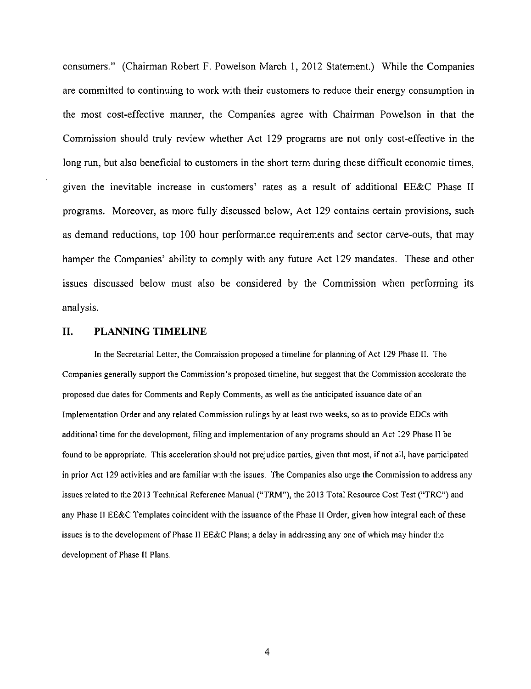consumers." (Chairman Robert F. Powelson March 1, 2012 Statement.) While the Companies are committed to continuing to work with their customers to reduce their energy consumption in the most cost-effective manner, the Companies agree with Chairman Powelson in that the Commission should truly review whether Act 129 programs are not only cost-effective in the long run, but also beneficial to customers in the short term during these difficult economic times, given the inevitable increase in customers' rates as a result of additional EE&C Phase II programs. Moreover, as more fully discussed below, Act 129 contains certain provisions, such as demand reductions, top 100 hour performance requirements and sector carve-outs, that may hamper the Companies' ability to comply with any future Act 129 mandates. These and other issues discussed below must also be considered by the Commission when performing its analysis.

#### **II. PLANNING TIMELINE**

In the Secretarial Letter, the Commission proposed a timeline for planning of Act 129 Phase II. The Companies generally support the Commission's proposed timeline, but suggest that the Commission accelerate the proposed due dates for Comments and Reply Comments, as well as the anticipated issuance date of an Implementation Order and any related Commission rulings by at least two weeks, so as to provide EDCs with additional time for the development, filing and implementation of any programs should an Act 129 Phase II be found to be appropriate. This acceleration should not prejudice parties, given that most, if not all, have participated in prior Act 129 activities and are familiar with the issues. The Companies also urge the Commission to address any issues related to the 2013 Technical Reference Manual ("TRM"), the 2013 Total Resource Cost Test ("TRC") and any Phase 11 EE&C Templates coincident with the issuance of the Phase II Order, given how integral each of these issues is to the development of Phase II EE&C Plans; a delay in addressing any one of which may hinder the development of Phase II Plans.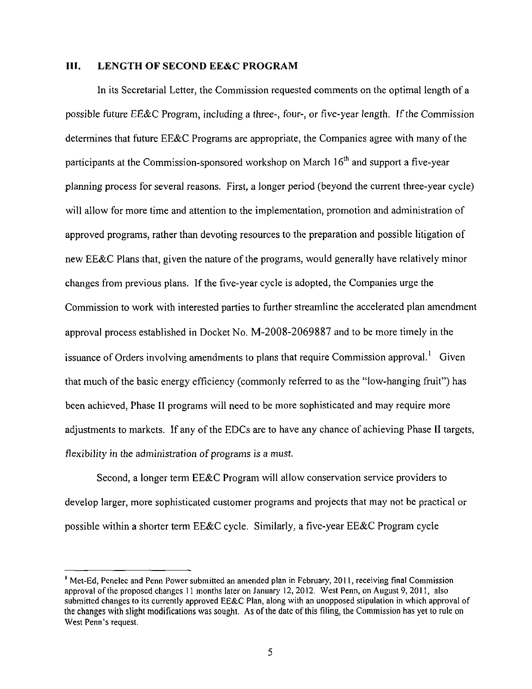#### **III. LENGTH OF SECOND EE&C PROGRAM**

In its Secretarial Letter, the Commission requested comments on the optimal length of a possible future EE&C Program, including a three-, four-, or five-year length. If the Commission determines that future EE&C Programs are appropriate, the Companies agree with many of the participants at the Commission-sponsored workshop on March 16<sup>th</sup> and support a five-year planning process for several reasons. First, a longer period (beyond the current three-year cycle) will allow for more time and attention to the implementation, promotion and administration of approved programs, rather than devoting resources to the preparation and possible litigation of new EE&C Plans that, given the nature of the programs, would generally have relatively minor changes from previous plans. If the five-year cycle is adopted, the Companies urge the Commission to work with interested parties to further streamline the accelerated plan amendment approval process established in Docket No. M-2008-2069887 and to be more timely in the issuance of Orders involving amendments to plans that require Commission approval.<sup>1</sup> Given that much of the basic energy efficiency (commonly referred to as the "low-hanging fruit") has been achieved, Phase II programs will need to be more sophisticated and may require more adjustments to markets. If any of the EDCs are to have any chance of achieving Phase II targets, flexibility in the administration of programs is a must.

Second, a longer term EE&C Program will allow conservation service providers to develop larger, more sophisticated customer programs and projects that may not be practical or possible within a shorter term EE&C cycle. Similarly, a five-year EE&C Program cycle

<sup>1</sup> Met-Ed, Penelec and Penn Power submitted an amended plan in February, 2011, receiving final Commission approval of the proposed changes 11 months later on January 12,2012. West Penn, on August 9, 2011, also submitted changes to its currently approved EE&C Plan, along with an unopposed stipulation in which approval of the changes with slight modifications was sought. As of the date of this filing, the Commission has yet to rule on West Penn's request.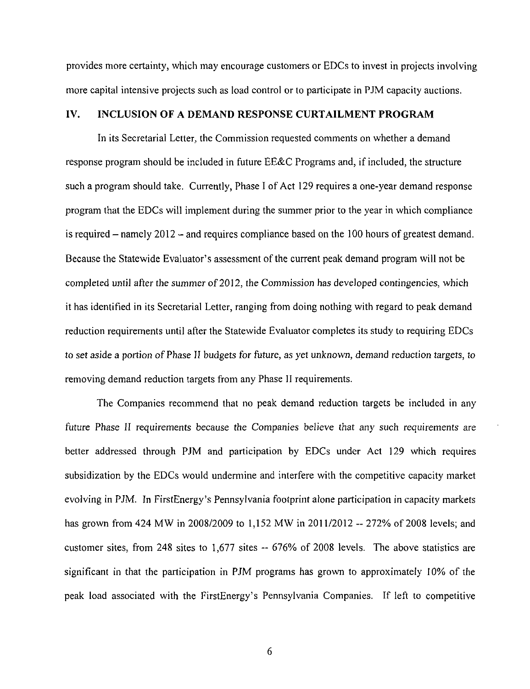**provides more certainty, which may encourage customers or EDCs to invest in projects involving more capital intensive projects such as load control or to participate in PJM capacity auctions.** 

#### **IV. INCLUSION OF A DEMAND RESPONSE CURTAILMENT PROGRAM**

In its Secretarial Letter, the Commission requested comments on whether a demand response program should be included in future EE&C Programs and, if included, the structure such a program should take. Currently, Phase I of Act 129 requires a one-year demand response program that the EDCs will implement during the summer prior to the year in which compliance is required  $-$  namely 2012  $-$  and requires compliance based on the 100 hours of greatest demand. Because the Statewide Evaluator's assessment of the current peak demand program will not be completed until after the summer of 2012, the Commission has developed contingencies, which it has identified in its Secretarial Letter, ranging from doing nothing with regard to peak demand reduction requirements until after the Statewide Evaluator completes its study to requiring EDCs to set aside a portion of Phase II budgets for future, as yet unknown, demand reduction targets, to removing demand reduction targets from any Phase II requirements.

The Companies recommend that no peak demand reduction targets be included in any future Phase II requirements because the Companies believe that any such requirements are better addressed through PJM and participation by EDCs under Act 129 which requires subsidization by the EDCs would undermine and interfere with the competitive capacity market evolving in PJM. In FirstEnergy's Pennsylvania footprint alone participation in capacity markets has grown from 424 MW in 2008/2009 to 1,152 MW in 2011/2012 -- 272% of 2008 levels; and customer sites, from 248 sites to 1,677 sites -- 676% of 2008 levels. The above statistics are significant in that the participation in PJM programs has grown to approximately 10% of the peak load associated with the FirstEnergy's Pennsylvania Companies. If left to competitive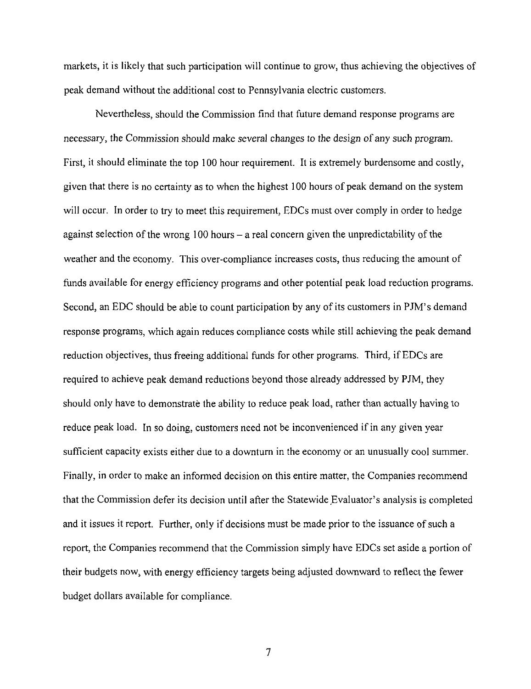markets, it is likely that such participation will continue to grow, thus achieving the objectives of peak demand without the additional cost to Pennsylvania electric customers.

Nevertheless, should the Commission find that future demand response programs are necessary, the Commission should make several changes to the design of any such program. First, it should eliminate the top 100 hour requirement. It is extremely burdensome and costly, given that there is no certainty as to when the highest 100 hours of peak demand on the system will occur. In order to try to meet this requirement, EDCs must over comply in order to hedge against selection of the wrong 100 hours  $-$  a real concern given the unpredictability of the weather and the economy. This over-compliance increases costs, thus reducing the amount of funds available for energy efficiency programs and other potential peak load reduction programs. Second, an EDC should be able to count participation by any of its customers in PJM's demand response programs, which again reduces compliance costs while still achieving the peak demand reduction objectives, thus freeing additional funds for other programs. Third, if EDCs are required to achieve peak demand reductions beyond those already addressed by PJM, they should only have to demonstrate the ability to reduce peak load, rather than actually having to reduce peak load. In so doing, customers need not be inconvenienced if in any given year sufficient capacity exists either due to a downturn in the economy or an unusually cool summer. Finally, in order to make an informed decision on this entire matter, the Companies recommend that the Commission defer its decision until after the Statewide Evaluator's analysis is completed and it issues it report. Further, only if decisions must be made prior to the issuance of such a report, the Companies recommend that the Commission simply have EDCs set aside a portion of their budgets now^ with energy efficiency targets being adjusted downward to reflect the fewer budget dollars available for compliance.

 $\overline{7}$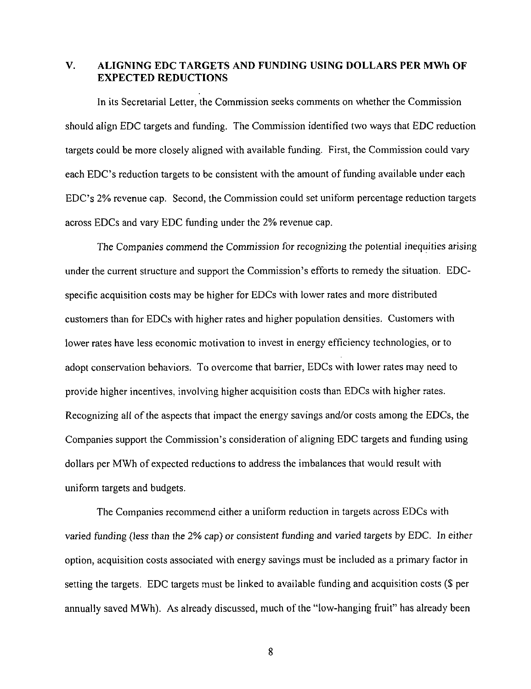#### **V. ALIGNING EDC TARGETS AND FUNDING USING DOLLARS PER MWh OF EXPECTED REDUCTIONS**

In its Secretarial Letter, the Commission seeks comments on whether the Commission should align EDC targets and funding. The Commission identified two ways that EDC reduction targets could be more closely aligned with available funding. First, the Commission could vary each EDC's reduction targets to be consistent with the amount of funding available under each EDC's 2% revenue cap. Second, the Commission could set uniform percentage reduction targets across EDCs and vary EDC funding under the 2% revenue cap.

The Companies commend the Commission for recognizing the potential inequities arising under the current structure and support the Commission's efforts to remedy the situation. EDCspecific acquisition costs may be higher for EDCs with lower rates and more distributed customers than for EDCs with higher rates and higher population densities. Customers with lower rates have less economic motivation to invest in energy efficiency technologies, or to adopt conservation behaviors. To overcome that barrier, EDCs with lower rates may need to provide higher incentives, involving higher acquisition costs than EDCs with higher rates. Recognizing all of the aspects that impact the energy savings and/or costs among the EDCs, the Companies support the Commission's consideration of aligning EDC targets and funding using dollars per MWh of expected reductions to address the imbalances that would result with uniform targets and budgets.

The Companies recommend either a uniform reduction in targets across EDCs with varied funding (less than the 2% cap) or consistent funding and varied targets by EDC. In either option, acquisition costs associated with energy savings must be included as a primary factor in setting the targets. EDC targets must be linked to available funding and acquisition costs (\$ per annually saved MWh). As already discussed, much of the "low-hanging fruit" has already been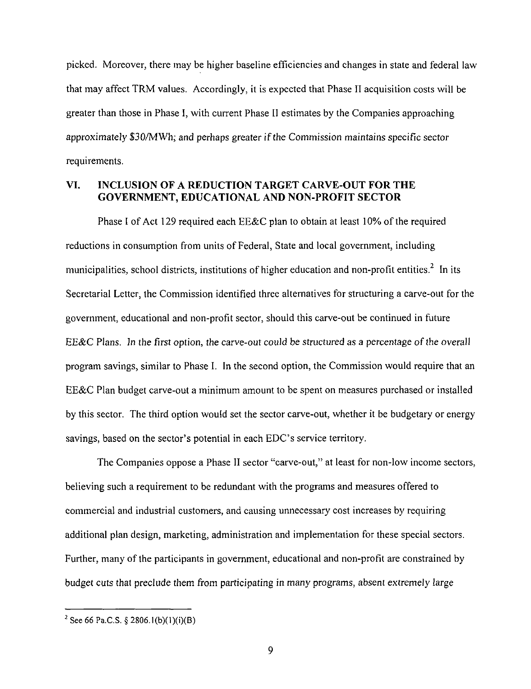picked. Moreover, there may be higher baseline efficiencies and changes in state and federal law that may affect TRM values. Accordingly, it is expected that Phase II acquisition costs will be greater than those in Phase I, with current Phase II estimates by the Companies approaching approximately \$30/MWh; and perhaps greater if the Commission maintains specific sector requirements.

#### **VI. INCLUSION OF A REDUCTION TARGET CARVE-OUT FOR THE GOVERNMENT, EDUCATIONAL AND NON-PROFIT SECTOR**

Phase I of Act 129 required each EE&C plan to obtain at least 10% of the required reductions in consumption from units of Federal, State and local government, including municipalities, school districts, institutions of higher education and non-profit entities.<sup>2</sup> In its Secretarial Letter, the Commission identified three alternatives for structuring a carve-out for the government, educational and non-profit sector, should this carve-out be continued in future EE&C Plans. In the first option, the carve-out could be structured as a percentage of the overall program savings, similar to Phase I. In the second option, the Commission would require that an EE&C Plan budget carve-out a minimum amount to be spent on measures purchased or installed by this sector. The third option would set the sector carve-out, whether it be budgetary or energy savings, based on the sector's potential in each EDC's service territory.

The Companies oppose a Phase II sector "carve-out," at least for non-low income sectors, believing such a requirement to be redundant with the programs and measures offered to commercial and industrial customers, and causing unnecessary cost increases by requiring additional plan design, marketing, administration and implementation for these special sectors. Further, many of the participants in government, educational and non-profit are constrained by budget cuts that preclude them from participating in many programs, absent extremely large

<sup>&</sup>lt;sup>2</sup> See 66 Pa.C.S. § 2806.1(b)(1)(i)(B)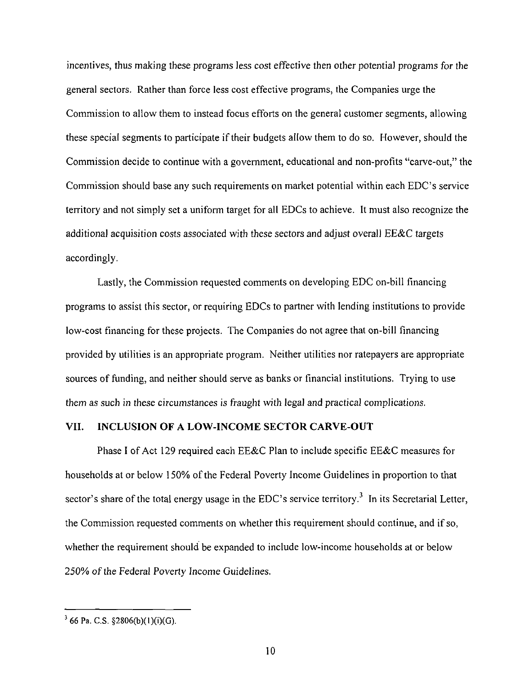incentives, thus making these programs less cost effective then other potential programs for the general sectors. Rather than force less cost effective programs, the Companies urge the Commission to allow them to instead focus efforts on the general customer segments, allowing these special segments to participate if their budgets allow them to do so. However, should the Commission decide to continue with a government, educational and non-profits "carve-out," the Commission should base any such requirements on market potential within each EDC's service territory and not simply set a uniform target for all EDCs to achieve. It must also recognize the additional acquisition costs associated with these sectors and adjust overall EE&C targets accordingly.

**Lastly, the Commission requested comments on developing EDC on-bill financing programs to assist this sector, or requiring EDCs to partner with lending institutions to provide low-cost financing for these projects. The Companies do not agree that on-bill financing provided by utilities is an appropriate program. Neither utilities nor ratepayers are appropriate sources of funding, and neither should serve as banks or financial institutions. Trying to use them as such in these circumstances is fraught with legal and practical complications.** 

#### **VII. INCLUSION OF A LOW-INCOME SECTOR CARVE-OUT**

Phase I of Act 129 required each EE&C Plan to include specific EE&C measures for households at or below 150% of the Federal Poverty Income Guidelines in proportion to that sector's share of the total energy usage in the EDC's service territory.<sup>3</sup> In its Secretarial Letter, the Commission requested comments on whether this requirement should continue, and if so, whether the requirement should be expanded to include low-income households at or below 250% of the Federal Poverty Income Guidelines.

 $366$  Pa. C.S.  $$2806(b)(1)(i)(G)$ .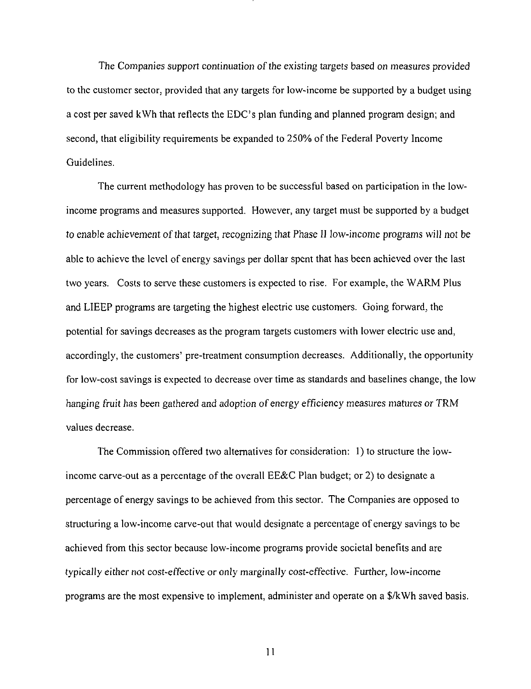The Companies support continuation of the existing targets based on measures provided to the customer sector, provided that any targets for low-income be supported by a budget using a cost per saved kWh that reflects the EDC's plan funding and planned program design; and second, that eligibility requirements be expanded to 250% of the Federal Poverty Income Guidelines.

The current methodology has proven to be successful based on participation in the lowincome programs and measures supported. However, any target must be supported by a budget to enable achievement of that target, recognizing that Phase II low-income programs will not be able to achieve the level of energy savings per dollar spent that has been achieved over the last two years. Costs to serve these customers is expected to rise. For example, the WARM Plus and LIEEP programs are targeting the highest electric use customers. Going forward, the potential for savings decreases as the program targets customers with lower electric use and, accordingly, the customers' pre-treatment consumption decreases. Additionally, the opportunity for low-cost savings is expected to decrease over time as standards and baselines change, the low hanging fruit has been gathered and adoption of energy efficiency measures matures or TRM values decrease.

The Commission offered two alternatives for consideration: 1) to structure the lowincome carve-out as a percentage of the overall EE&C Plan budget; or 2) to designate a percentage of energy savings to be achieved from this sector. The Companies are opposed to structuring a low-income carve-out that would designate a percentage of energy savings to be achieved from this sector because low-income programs provide societal benefits and are typically either not cost-effective or only marginally cost-effective. Further, low-income programs are the most expensive to implement, administer and operate on a \$/kWh saved basis.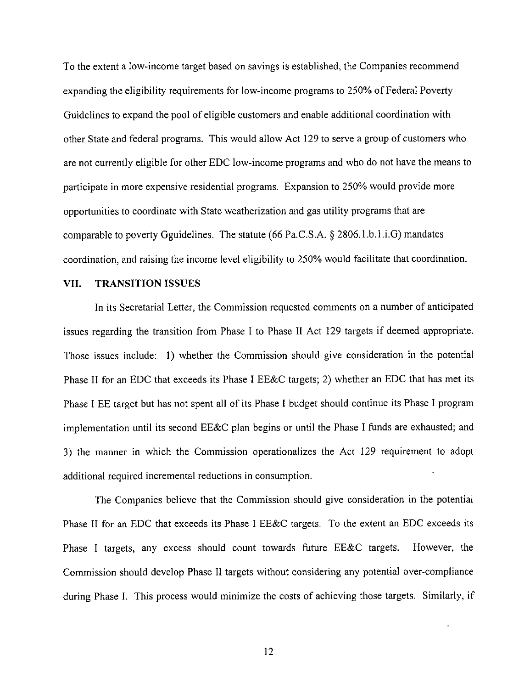**To the extent a low-income target based on savings is established, the Companies recommend expanding the eligibility requirements for low-income programs to 250% of Federal Poverty Guidelines to expand the pool of eligible customers and enable additional coordination with other State and federal programs. This would allow Act 129 to serve a group of customers who are not currently eligible for other EDC low-income programs and who do not have the means to participate in more expensive residential programs. Expansion to 250% would provide more opportunities to coordinate with State weatherization and gas utility programs that are comparable to poverty Gguidelines. The statute (66 Pa.C.S.A. § 2806.1.b.l.i.G) mandates coordination, and raising the income level eligibility to 250% would facilitate that coordination.** 

#### **VII. TRANSITION ISSUES**

In its Secretarial Letter, the Commission requested comments on a number of anticipated issues regarding the transition from Phase I to Phase II Act 129 targets if deemed appropriate. Those issues include: 1) whether the Commission should give consideration in the potential Phase II for an EDC that exceeds its Phase I EE&C targets; 2) whether an EDC that has met its Phase I EE target but has not spent all of its Phase I budget should continue its Phase 1 program implementation until its second EE&C plan begins or until the Phase I funds are exhausted; and 3) the manner in which the Commission operationalizes the Act 129 requirement to adopt additional required incremental reductions in consumption.

The Companies believe that the Commission should give consideration in the potential Phase II for an EDC that exceeds its Phase I EE&C targets. To the extent an EDC exceeds its Phase I targets, any excess should count towards future EE&C targets. However, the Commission should develop Phase II targets without considering any potential over-compliance during Phase I. This process would minimize the costs of achieving those targets. Similarly, if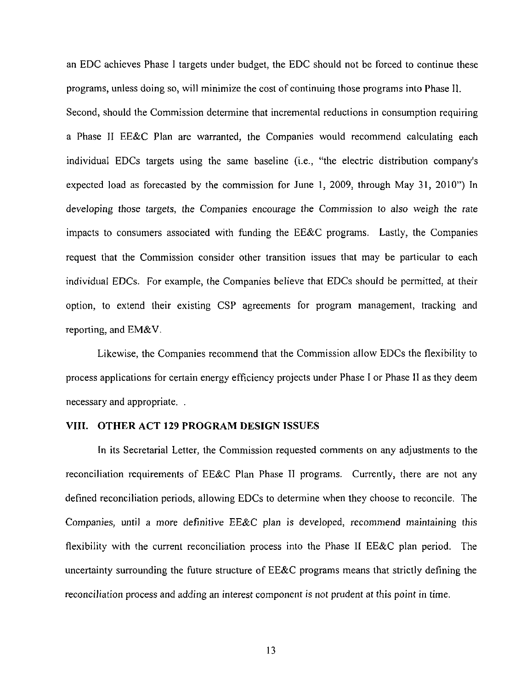an EDC achieves Phase I targets under budget, the EDC should not be forced to continue these programs, unless doing so, will minimize the cost of continuing those programs into Phase II. Second, should the Commission determine that incremental reductions in consumption requiring a Phase II EE&C Plan are warranted, the Companies would recommend calculating each individual EDCs targets using the same baseline (i.e., "the electric distribution company's expected load as forecasted by the commission for June 1, 2009, through May 31, 2010") In developing those targets, the Companies encourage the Commission to also weigh the rate impacts to consumers associated with funding the EE&C programs. Lastly, the Companies request that the Commission consider other transition issues that may be particular to each individual EDCs. For example, the Companies believe that EDCs should be permitted, at their option, to extend their existing CSP agreements for program management, tracking and reporting, and EM&V.

Likewise, the Companies recommend that the Commission allow EDCs the flexibility to process applications for certain energy efficiency projects under Phase I or Phase II as they deem necessary and appropriate. .

#### **VIII. OTHER ACT 129 PROGRAM DESIGN ISSUES**

In its Secretarial Letter, the Commission requested comments on any adjustments to the reconciliation requirements of EE&C Plan Phase II programs. Currently, there are not any defined reconciliation periods, allowing EDCs to determine when they choose to reconcile. The Companies, until a more definitive EE&C plan is developed, recommend maintaining this flexibility with the current reconciliation process into the Phase II EE&C plan period. The uncertainty surrounding the future structure of EE&C programs means that strictly defining the reconciliation process and adding an interest component is not prudent at this point in time.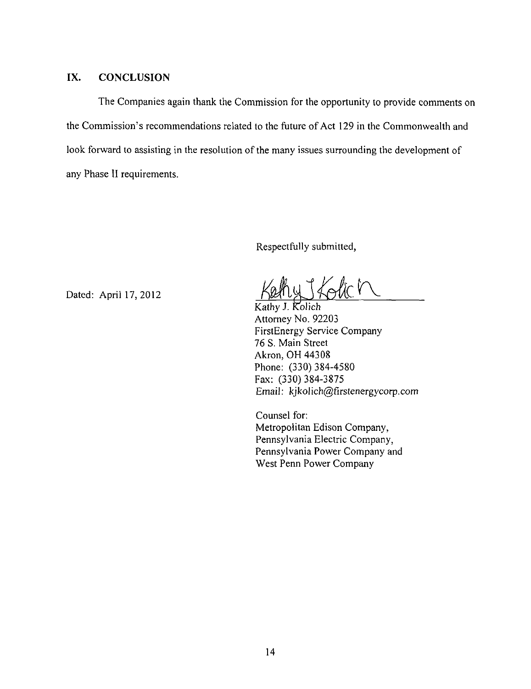#### IX. CONCLUSION

The Companies again thank the Commission for the opportunity to provide comments on the Commission's recommendations related to the future of Act 129 in the Commonwealth and look forward to assisting in the resolution of the many issues surrounding the development of any Phase II requirements.

Respectfully submitted,

Dated: April 17,2012

Kathy J. Kolich Attorney No. 92203 FirstEnergy Service Company 76 S. Main Street Akron, OH 44308 Phone: (330) 384-4580 Fax: (330) 384-3875 Email: kjkolich@firstenergycorp.com

Counsel for: Metropolitan Edison Company, Pennsylvania Electric Company, Pennsylvania Power Company and West Penn Power Company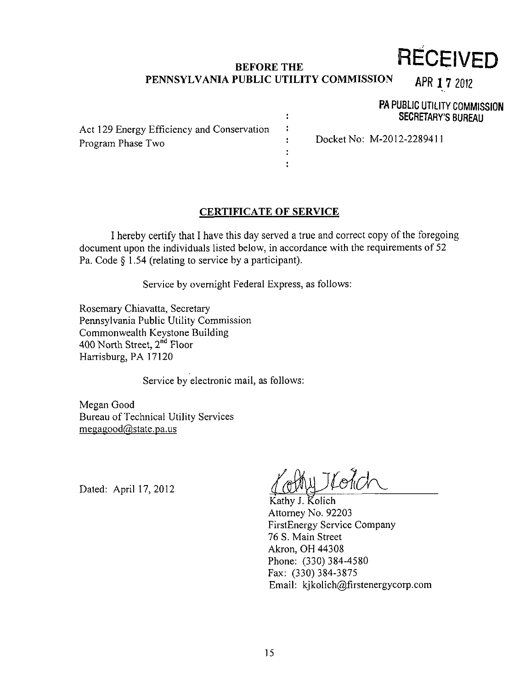## **BEFORE THE PENNSYLVANIA PUBLIC UTILITY COMMISSION RECEIVED**

 $\ddot{\phantom{a}}$  $\ddot{\phantom{a}}$ ÷ ÷ ÷ APR 1 7 2012

PA PUBLIC UTILITY COMMISSION SECRETARY'S BUREAU

Act 129 Energy Efficiency and Conservation Program Phase Two

DocketNo: M-2012-2289411

#### **CERTIFICATE OF SERVICE**

I hereby certify that I have this day served a true and correct copy ofthe foregoing document upon the individuals listed below, in accordance with the requirements of 52 Pa. Code § 1.54 (relating to service by a participant).

Service by overnight Federal Express, as follows:

Rosemary Chiavatta, Secretary Pennsylvania Public Utility Commission Commonwealth Keystone Building 400 North Street, 2<sup>nd</sup> Floor Harrisburg, PA 17120

Service by electronic mail, as follows:

Megan Good Bureau of Technical Utility Services  $me$ gagood $@$ state.pa.us

Dated: April 17,2012

Kathy J. Kolich Attorney No. 92203 FirstEnergy Service Company 76 S. Main Street Akron, OH 44308 Phone: (330) 384-4580 Fax: (330) 384-3875 Email: kjkolich@firstenergycorp.com